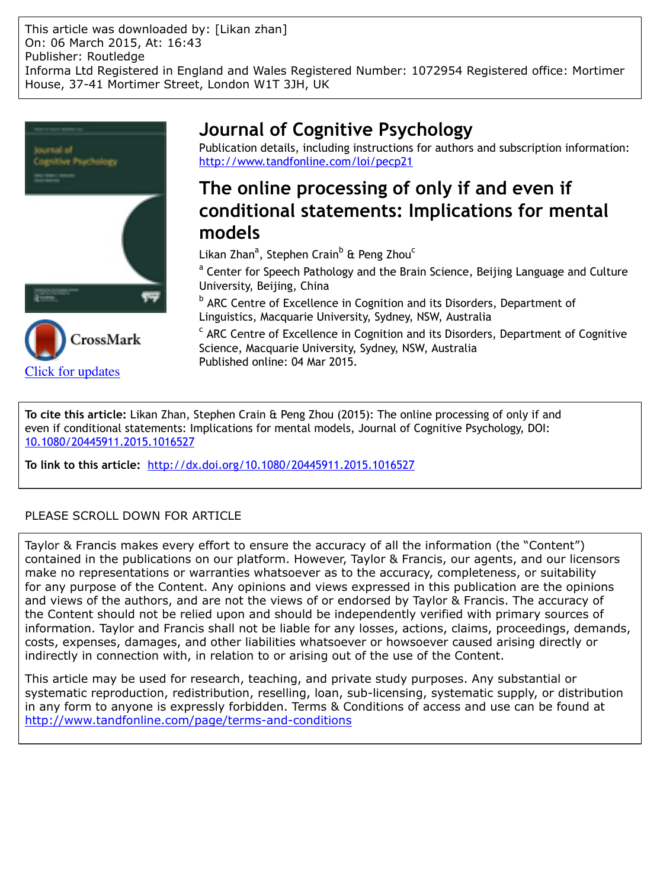This article was downloaded by: [Likan zhan] On: 06 March 2015, At: 16:43 Publisher: Routledge Informa Ltd Registered in England and Wales Registered Number: 1072954 Registered office: Mortimer House, 37-41 Mortimer Street, London W1T 3JH, UK





# **Journal of Cognitive Psychology**

Publication details, including instructions for authors and subscription information: <http://www.tandfonline.com/loi/pecp21>

# **The online processing of only if and even if conditional statements: Implications for mental models**

Likan Zhan<sup>a</sup>, Stephen Crain<sup>b</sup> & Peng Zhou<sup>c</sup>

<sup>a</sup> Center for Speech Pathology and the Brain Science, Beijing Language and Culture University, Beijing, China

**b ARC Centre of Excellence in Cognition and its Disorders, Department of** Linguistics, Macquarie University, Sydney, NSW, Australia

<sup>c</sup> ARC Centre of Excellence in Cognition and its Disorders, Department of Cognitive Science, Macquarie University, Sydney, NSW, Australia Published online: 04 Mar 2015.

**To cite this article:** Likan Zhan, Stephen Crain & Peng Zhou (2015): The online processing of only if and even if conditional statements: Implications for mental models, Journal of Cognitive Psychology, DOI: [10.1080/20445911.2015.1016527](http://www.tandfonline.com/action/showCitFormats?doi=10.1080/20445911.2015.1016527)

**To link to this article:** <http://dx.doi.org/10.1080/20445911.2015.1016527>

# PLEASE SCROLL DOWN FOR ARTICLE

Taylor & Francis makes every effort to ensure the accuracy of all the information (the "Content") contained in the publications on our platform. However, Taylor & Francis, our agents, and our licensors make no representations or warranties whatsoever as to the accuracy, completeness, or suitability for any purpose of the Content. Any opinions and views expressed in this publication are the opinions and views of the authors, and are not the views of or endorsed by Taylor & Francis. The accuracy of the Content should not be relied upon and should be independently verified with primary sources of information. Taylor and Francis shall not be liable for any losses, actions, claims, proceedings, demands, costs, expenses, damages, and other liabilities whatsoever or howsoever caused arising directly or indirectly in connection with, in relation to or arising out of the use of the Content.

This article may be used for research, teaching, and private study purposes. Any substantial or systematic reproduction, redistribution, reselling, loan, sub-licensing, systematic supply, or distribution in any form to anyone is expressly forbidden. Terms & Conditions of access and use can be found at <http://www.tandfonline.com/page/terms-and-conditions>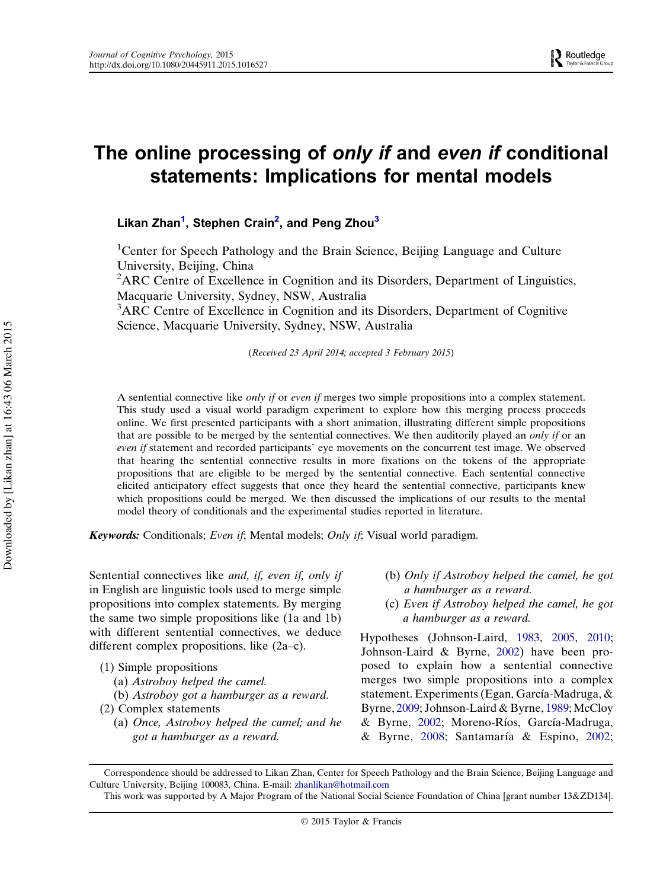# The online processing of only if and even if conditional statements: Implications for mental models

## Likan Zhan $^1$ , Stephen Crain $^2$ , and Peng Zhou $^3$

<sup>1</sup>Center for Speech Pathology and the Brain Science, Beijing Language and Culture University, Beijing, China

<sup>2</sup>ARC Centre of Excellence in Cognition and its Disorders, Department of Linguistics, Macquarie University, Sydney, NSW, Australia

<sup>3</sup>ARC Centre of Excellence in Cognition and its Disorders, Department of Cognitive Science, Macquarie University, Sydney, NSW, Australia

(Received 23 April 2014; accepted 3 February 2015)

A sentential connective like only if or even if merges two simple propositions into a complex statement. This study used a visual world paradigm experiment to explore how this merging process proceeds online. We first presented participants with a short animation, illustrating different simple propositions that are possible to be merged by the sentential connectives. We then auditorily played an only if or an even if statement and recorded participants' eye movements on the concurrent test image. We observed that hearing the sentential connective results in more fixations on the tokens of the appropriate propositions that are eligible to be merged by the sentential connective. Each sentential connective elicited anticipatory effect suggests that once they heard the sentential connective, participants knew which propositions could be merged. We then discussed the implications of our results to the mental model theory of conditionals and the experimental studies reported in literature.

Keywords: Conditionals; Even if; Mental models; Only if; Visual world paradigm.

Sentential connectives like *and, if, even if, only if* in English are linguistic tools used to merge simple propositions into complex statements. By merging the same two simple propositions like (1a and 1b) with different sentential connectives, we deduce different complex propositions, like (2a–c).

- (a) Astroboy helped the camel.
- (b) Astroboy got a hamburger as a reward.
- (2) Complex statements
	- (a) Once, Astroboy helped the camel; and he got a hamburger as a reward.
- (b) Only if Astroboy helped the camel, he got a hamburger as a reward.
- (c) Even if Astroboy helped the camel, he got a hamburger as a reward.

Hypotheses (Johnson-Laird, [1983](#page-11-0), [2005,](#page-11-0) [2010](#page-11-0); Johnson-Laird & Byrne, [2002\)](#page-11-0) have been proposed to explain how a sentential connective merges two simple propositions into a complex statement. Experiments (Egan, García-Madruga, & Byrne, [2009](#page-11-0); Johnson-Laird & Byrne, [1989;](#page-11-0) McCloy & Byrne, [2002;](#page-11-0) Moreno-Ríos, García-Madruga, & Byrne, [2008;](#page-11-0) Santamaría & Espino, [2002](#page-11-0);

<sup>(1)</sup> Simple propositions

Correspondence should be addressed to Likan Zhan, Center for Speech Pathology and the Brain Science, Beijing Language and Culture University, Beijing 100083, China. E-mail: [zhanlikan@hotmail.com](mailto:zhanlikan@hotmail.com)

This work was supported by A Major Program of the National Social Science Foundation of China [grant number 13&ZD134].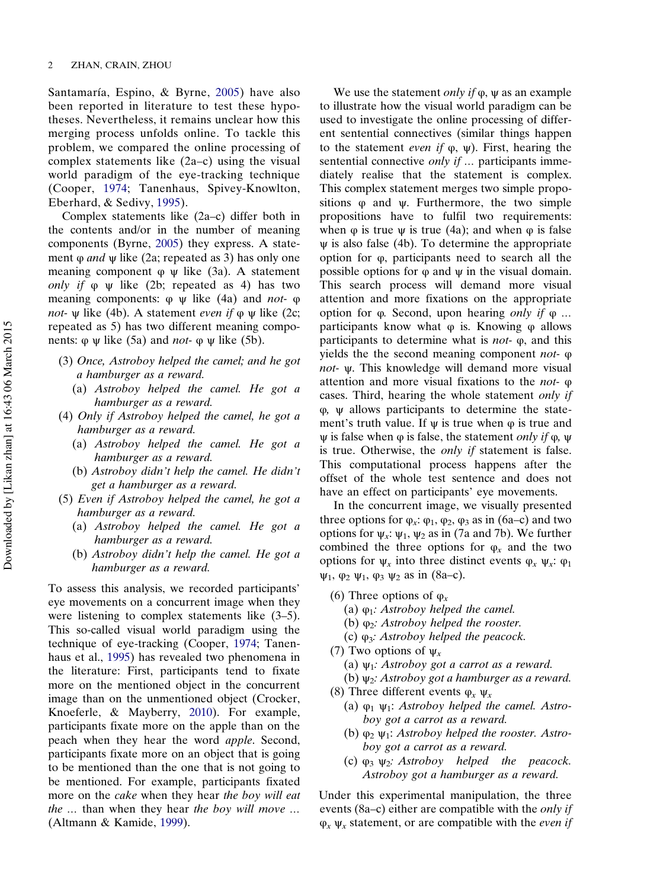Santamaría, Espino, & Byrne, [2005\)](#page-11-0) have also been reported in literature to test these hypotheses. Nevertheless, it remains unclear how this merging process unfolds online. To tackle this problem, we compared the online processing of complex statements like (2a–c) using the visual world paradigm of the eye-tracking technique (Cooper, [1974](#page-11-0); Tanenhaus, Spivey-Knowlton, Eberhard, & Sedivy, [1995\)](#page-11-0).

Complex statements like (2a–c) differ both in the contents and/or in the number of meaning components (Byrne, [2005\)](#page-11-0) they express. A statement  $\varphi$  *and*  $\psi$  like (2a; repeated as 3) has only one meaning component  $\varphi$   $\psi$  like (3a). A statement only if  $\varphi$   $\psi$  like (2b; repeated as 4) has two meaning components:  $\varphi \psi$  like (4a) and *not*-  $\varphi$ *not-*  $\psi$  like (4b). A statement *even* if  $\varphi$   $\psi$  like (2c; repeated as 5) has two different meaning components:  $\varphi \psi$  like (5a) and *not*-  $\varphi \psi$  like (5b).

- (3) Once, Astroboy helped the camel; and he got a hamburger as a reward.
	- (a) Astroboy helped the camel. He got a hamburger as a reward.
- (4) Only if Astroboy helped the camel, he got a hamburger as a reward.
	- (a) Astroboy helped the camel. He got a hamburger as a reward.
	- (b) Astroboy didn't help the camel. He didn't get a hamburger as a reward.
- (5) Even if Astroboy helped the camel, he got a hamburger as a reward.
	- (a) Astroboy helped the camel. He got a hamburger as a reward.
	- (b) Astroboy didn't help the camel. He got a hamburger as a reward.

To assess this analysis, we recorded participants' eye movements on a concurrent image when they were listening to complex statements like (3–5). This so-called visual world paradigm using the technique of eye-tracking (Cooper, [1974;](#page-11-0) Tanenhaus et al., [1995\)](#page-11-0) has revealed two phenomena in the literature: First, participants tend to fixate more on the mentioned object in the concurrent image than on the unmentioned object (Crocker, Knoeferle, & Mayberry, [2010](#page-11-0)). For example, participants fixate more on the apple than on the peach when they hear the word apple. Second, participants fixate more on an object that is going to be mentioned than the one that is not going to be mentioned. For example, participants fixated more on the cake when they hear the boy will eat the … than when they hear the boy will move … (Altmann & Kamide, [1999\)](#page-11-0).

We use the statement *only if*  $\varphi$ ,  $\psi$  as an example to illustrate how the visual world paradigm can be used to investigate the online processing of different sentential connectives (similar things happen to the statement *even if*  $φ$ ,  $ψ$ ). First, hearing the sentential connective *only if* ... participants immediately realise that the statement is complex. This complex statement merges two simple propositions φ and ψ. Furthermore, the two simple propositions have to fulfil two requirements: when  $\varphi$  is true  $\psi$  is true (4a); and when  $\varphi$  is false ψ is also false (4b). To determine the appropriate option for φ, participants need to search all the possible options for  $\varphi$  and  $\psi$  in the visual domain. This search process will demand more visual attention and more fixations on the appropriate option for φ. Second, upon hearing *only if* φ ... participants know what  $\varphi$  is. Knowing  $\varphi$  allows participants to determine what is *not*- $\varphi$ , and this yields the the second meaning component not- φ not- ψ. This knowledge will demand more visual attention and more visual fixations to the not- φ cases. Third, hearing the whole statement only if φ, ψ allows participants to determine the statement's truth value. If  $\psi$  is true when  $\varphi$  is true and  $\psi$  is false when  $\varphi$  is false, the statement *only if*  $\varphi$ ,  $\psi$ is true. Otherwise, the only if statement is false. This computational process happens after the offset of the whole test sentence and does not have an effect on participants' eye movements.

In the concurrent image, we visually presented three options for  $\varphi_x$ :  $\varphi_1$ ,  $\varphi_2$ ,  $\varphi_3$  as in (6a–c) and two options for  $\psi_x$ :  $\psi_1$ ,  $\psi_2$  as in (7a and 7b). We further combined the three options for  $\varphi_x$  and the two options for  $\psi_x$  into three distinct events  $\varphi_x \psi_x$ :  $\varphi_1$  $ψ<sub>1</sub>$ ,  $φ<sub>2</sub> ψ<sub>1</sub>$ ,  $φ<sub>3</sub> ψ<sub>2</sub>$  as in (8a–c).

- (6) Three options of  $\varphi_x$ 
	- (a)  $\varphi_1$ : Astroboy helped the camel.
	- (b)  $\varphi_2$ : Astroboy helped the rooster.
	- (c)  $\varphi_3$ : Astroboy helped the peacock.
- (7) Two options of  $\psi_x$ 
	- (a)  $\psi_1$ : Astroboy got a carrot as a reward.
	- (b)  $\psi_2$ : Astroboy got a hamburger as a reward.
- (8) Three different events  $\varphi_x \psi_x$ 
	- (a)  $\varphi_1$   $\psi_1$ : Astroboy helped the camel. Astroboy got a carrot as a reward.
	- (b)  $\varphi_2 \psi_1$ : Astroboy helped the rooster. Astroboy got a carrot as a reward.
	- (c)  $\varphi_3 \varphi_2$ : Astroboy helped the peacock. Astroboy got a hamburger as a reward.

Under this experimental manipulation, the three events (8a–c) either are compatible with the *only if*  $\varphi_x \psi_x$  statement, or are compatible with the *even if*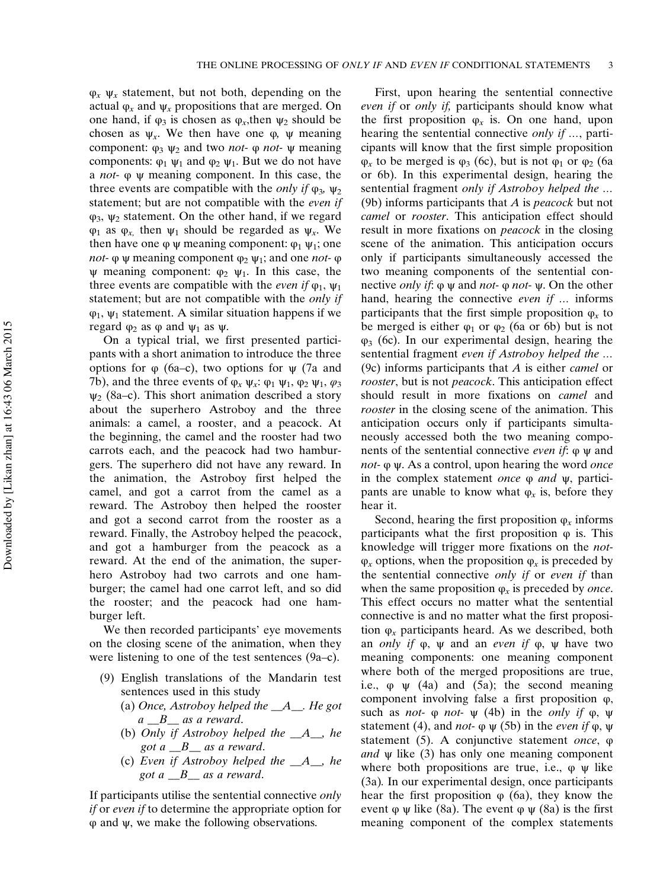$\varphi_x$   $\psi_x$  statement, but not both, depending on the actual  $\varphi_x$  and  $\psi_x$  propositions that are merged. On one hand, if  $\varphi_3$  is chosen as  $\varphi_x$ , then  $\psi_2$  should be chosen as  $ψ_x$ . We then have one  $φ$ ,  $ψ$  meaning component:  $φ_3 ψ_2$  and two *not*- φ *not*- ψ meaning components:  $\varphi_1 \psi_1$  and  $\varphi_2 \psi_1$ . But we do not have a not- φ ψ meaning component. In this case, the three events are compatible with the *only if*  $\varphi_3$ ,  $\psi_2$ statement; but are not compatible with the even if  $\varphi_3$ ,  $\psi_2$  statement. On the other hand, if we regard  $\varphi_1$  as  $\varphi_x$  then  $\psi_1$  should be regarded as  $\psi_x$ . We then have one φ ψ meaning component:  $φ_1 ψ_1$ ; one *not*-  $\varphi$   $\psi$  meaning component  $\varphi_2$   $\psi_1$ ; and one *not*-  $\varphi$  $ψ$  meaning component:  $φ_2$   $ψ_1$ . In this case, the three events are compatible with the *even if*  $\varphi_1$ ,  $\psi_1$ statement; but are not compatible with the *only if*  $\varphi_1$ ,  $\psi_1$  statement. A similar situation happens if we regard  $φ_2$  as φ and  $ψ_1$  as  $ψ$ .

On a typical trial, we first presented participants with a short animation to introduce the three options for φ (6a–c), two options for ψ (7a and 7b), and the three events of  $\varphi_x \psi_x$ :  $\varphi_1 \psi_1$ ,  $\varphi_2 \psi_1$ ,  $\varphi_3$  $\psi_2$  (8a–c). This short animation described a story about the superhero Astroboy and the three animals: a camel, a rooster, and a peacock. At the beginning, the camel and the rooster had two carrots each, and the peacock had two hamburgers. The superhero did not have any reward. In the animation, the Astroboy first helped the camel, and got a carrot from the camel as a reward. The Astroboy then helped the rooster and got a second carrot from the rooster as a reward. Finally, the Astroboy helped the peacock, and got a hamburger from the peacock as a reward. At the end of the animation, the superhero Astroboy had two carrots and one hamburger; the camel had one carrot left, and so did the rooster; and the peacock had one hamburger left.

We then recorded participants' eye movements on the closing scene of the animation, when they were listening to one of the test sentences (9a–c).

- (9) English translations of the Mandarin test sentences used in this study
	- (a) Once, Astroboy helped the  $A$ <sub>-</sub> $A$ <sub>-</sub> $B$  He got a B as a reward.
	- (b) Only if Astroboy helped the  $A_$ , he got a  $B_$  as a reward.
	- (c) Even if Astroboy helped the  $A_{\mathcal{A}}$ , he got  $a \_\_B$  as a reward.

If participants utilise the sentential connective only if or even if to determine the appropriate option for φ and ψ, we make the following observations.

First, upon hearing the sentential connective even if or *only if*, participants should know what the first proposition  $\varphi_x$  is. On one hand, upon hearing the sentential connective *only if* ..., participants will know that the first simple proposition  $\varphi_x$  to be merged is  $\varphi_3$  (6c), but is not  $\varphi_1$  or  $\varphi_2$  (6a or 6b). In this experimental design, hearing the sentential fragment only if Astroboy helped the … (9b) informs participants that  $A$  is *peacock* but not camel or rooster. This anticipation effect should result in more fixations on *peacock* in the closing scene of the animation. This anticipation occurs only if participants simultaneously accessed the two meaning components of the sentential connective *only if*:  $\varphi \psi$  and *not*-  $\varphi$  *not*-  $\psi$ . On the other hand, hearing the connective even if ... informs participants that the first simple proposition  $\varphi_r$  to be merged is either  $\varphi_1$  or  $\varphi_2$  (6a or 6b) but is not  $\varphi_3$  (6c). In our experimental design, hearing the sentential fragment even if Astroboy helped the … (9c) informs participants that  $A$  is either *camel* or rooster, but is not peacock. This anticipation effect should result in more fixations on camel and rooster in the closing scene of the animation. This anticipation occurs only if participants simultaneously accessed both the two meaning components of the sentential connective even if: φ ψ and not- φ ψ. As a control, upon hearing the word *once* in the complex statement *once*  $\varphi$  *and*  $\psi$ , participants are unable to know what  $\varphi_x$  is, before they hear it.

Second, hearing the first proposition  $\varphi_r$  informs participants what the first proposition  $\varphi$  is. This knowledge will trigger more fixations on the not- $\varphi_x$  options, when the proposition  $\varphi_x$  is preceded by the sentential connective *only if* or *even if* than when the same proposition  $\varphi_r$  is preceded by *once*. This effect occurs no matter what the sentential connective is and no matter what the first proposition  $\varphi$ <sub>x</sub> participants heard. As we described, both an *only if*  $\varphi$ ,  $\psi$  and an *even if*  $\varphi$ ,  $\psi$  have two meaning components: one meaning component where both of the merged propositions are true, i.e.,  $\varphi \psi$  (4a) and (5a); the second meaning component involving false a first proposition φ, such as *not*-  $\varphi$  *not*-  $\psi$  (4b) in the *only if*  $\varphi$ ,  $\psi$ statement (4), and *not*-  $\varphi \psi$  (5b) in the *even if*  $\varphi$ ,  $\psi$ statement (5). A conjunctive statement once, φ and  $\psi$  like (3) has only one meaning component where both propositions are true, i.e.,  $\varphi \psi$  like (3a). In our experimental design, once participants hear the first proposition  $\varphi$  (6a), they know the event φ ψ like (8a). The event φ ψ (8a) is the first meaning component of the complex statements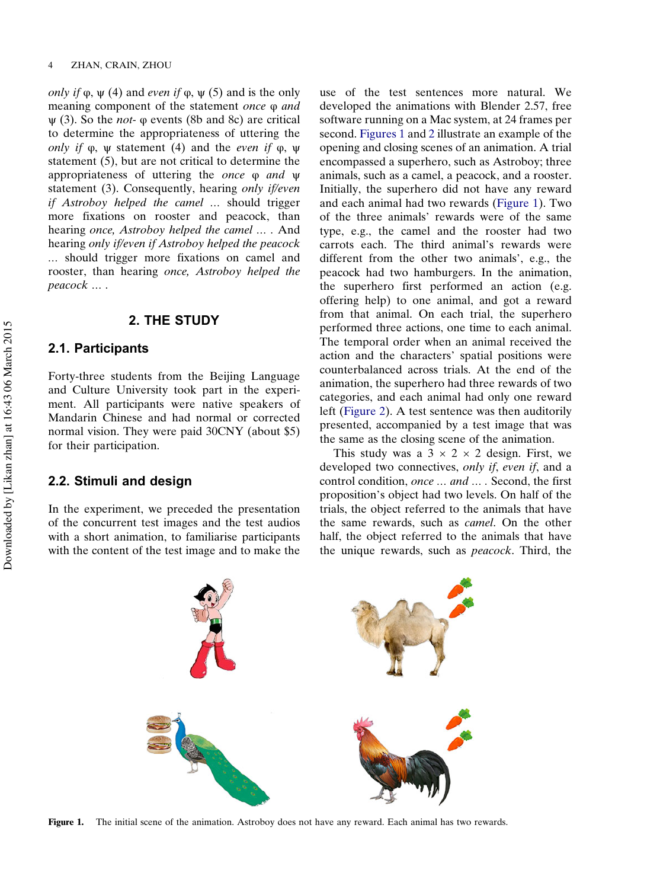only if  $\varphi$ ,  $\psi$  (4) and even if  $\varphi$ ,  $\psi$  (5) and is the only meaning component of the statement once φ and  $\psi$  (3). So the *not*-  $\varphi$  events (8b and 8c) are critical to determine the appropriateness of uttering the only if  $\varphi$ ,  $\psi$  statement (4) and the *even* if  $\varphi$ ,  $\psi$ statement (5), but are not critical to determine the appropriateness of uttering the once φ and ψ statement (3). Consequently, hearing only if/even if Astroboy helped the camel … should trigger more fixations on rooster and peacock, than hearing once, Astroboy helped the camel … . And hearing only if/even if Astroboy helped the peacock … should trigger more fixations on camel and rooster, than hearing once, Astroboy helped the peacock … .

## 2. THE STUDY

#### 2.1. Participants

Forty-three students from the Beijing Language and Culture University took part in the experiment. All participants were native speakers of Mandarin Chinese and had normal or corrected normal vision. They were paid 30CNY (about \$5) for their participation.

### 2.2. Stimuli and design

In the experiment, we preceded the presentation of the concurrent test images and the test audios with a short animation, to familiarise participants with the content of the test image and to make the

use of the test sentences more natural. We developed the animations with Blender 2.57, free software running on a Mac system, at 24 frames per second. Figures 1 and [2](#page-5-0) illustrate an example of the opening and closing scenes of an animation. A trial encompassed a superhero, such as Astroboy; three animals, such as a camel, a peacock, and a rooster. Initially, the superhero did not have any reward and each animal had two rewards (Figure 1). Two of the three animals' rewards were of the same type, e.g., the camel and the rooster had two carrots each. The third animal's rewards were different from the other two animals', e.g., the peacock had two hamburgers. In the animation, the superhero first performed an action (e.g. offering help) to one animal, and got a reward from that animal. On each trial, the superhero performed three actions, one time to each animal. The temporal order when an animal received the action and the characters' spatial positions were counterbalanced across trials. At the end of the animation, the superhero had three rewards of two categories, and each animal had only one reward left [\(Figure 2](#page-5-0)). A test sentence was then auditorily presented, accompanied by a test image that was the same as the closing scene of the animation.

This study was a  $3 \times 2 \times 2$  design. First, we developed two connectives, only if, even if, and a control condition, once … and … . Second, the first proposition's object had two levels. On half of the trials, the object referred to the animals that have the same rewards, such as camel. On the other half, the object referred to the animals that have the unique rewards, such as peacock. Third, the



Figure 1. The initial scene of the animation. Astroboy does not have any reward. Each animal has two rewards.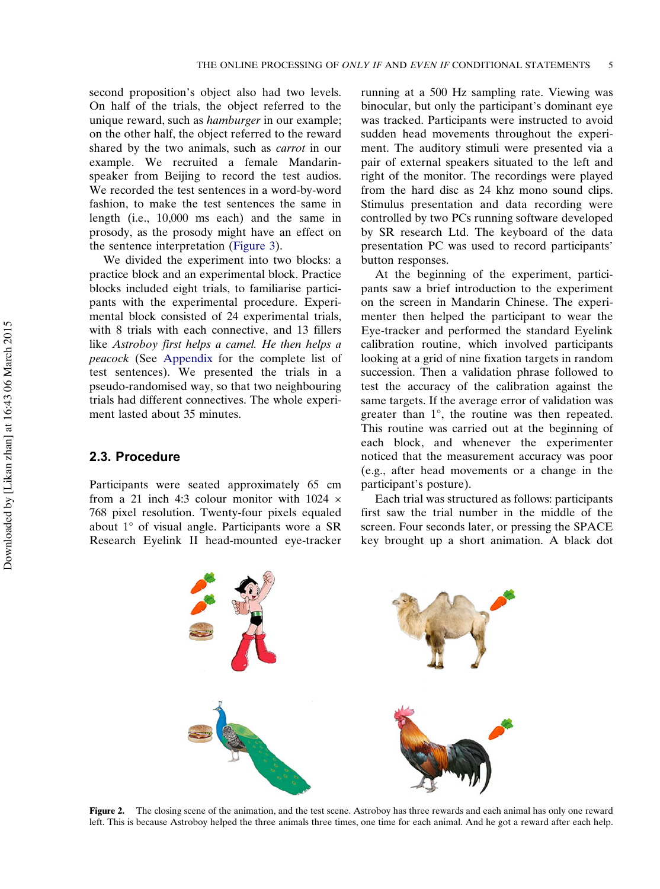<span id="page-5-0"></span>second proposition's object also had two levels. On half of the trials, the object referred to the unique reward, such as hamburger in our example; on the other half, the object referred to the reward shared by the two animals, such as carrot in our example. We recruited a female Mandarinspeaker from Beijing to record the test audios. We recorded the test sentences in a word-by-word fashion, to make the test sentences the same in length (i.e., 10,000 ms each) and the same in prosody, as the prosody might have an effect on the sentence interpretation [\(Figure 3\)](#page-6-0).

We divided the experiment into two blocks: a practice block and an experimental block. Practice blocks included eight trials, to familiarise participants with the experimental procedure. Experimental block consisted of 24 experimental trials, with 8 trials with each connective, and 13 fillers like Astroboy first helps a camel. He then helps a peacock (See [Appendix](#page-12-0) for the complete list of test sentences). We presented the trials in a pseudo-randomised way, so that two neighbouring trials had different connectives. The whole experiment lasted about 35 minutes.

#### 2.3. Procedure

Participants were seated approximately 65 cm from a 21 inch 4:3 colour monitor with 1024 × 768 pixel resolution. Twenty-four pixels equaled about 1° of visual angle. Participants wore a SR Research Eyelink II head-mounted eye-tracker running at a 500 Hz sampling rate. Viewing was binocular, but only the participant's dominant eye was tracked. Participants were instructed to avoid sudden head movements throughout the experiment. The auditory stimuli were presented via a pair of external speakers situated to the left and right of the monitor. The recordings were played from the hard disc as 24 khz mono sound clips. Stimulus presentation and data recording were controlled by two PCs running software developed by SR research Ltd. The keyboard of the data presentation PC was used to record participants' button responses.

At the beginning of the experiment, participants saw a brief introduction to the experiment on the screen in Mandarin Chinese. The experimenter then helped the participant to wear the Eye-tracker and performed the standard Eyelink calibration routine, which involved participants looking at a grid of nine fixation targets in random succession. Then a validation phrase followed to test the accuracy of the calibration against the same targets. If the average error of validation was greater than 1°, the routine was then repeated. This routine was carried out at the beginning of each block, and whenever the experimenter noticed that the measurement accuracy was poor (e.g., after head movements or a change in the participant's posture).

Each trial was structured as follows: participants first saw the trial number in the middle of the screen. Four seconds later, or pressing the SPACE key brought up a short animation. A black dot



Figure 2. The closing scene of the animation, and the test scene. Astroboy has three rewards and each animal has only one reward left. This is because Astroboy helped the three animals three times, one time for each animal. And he got a reward after each help.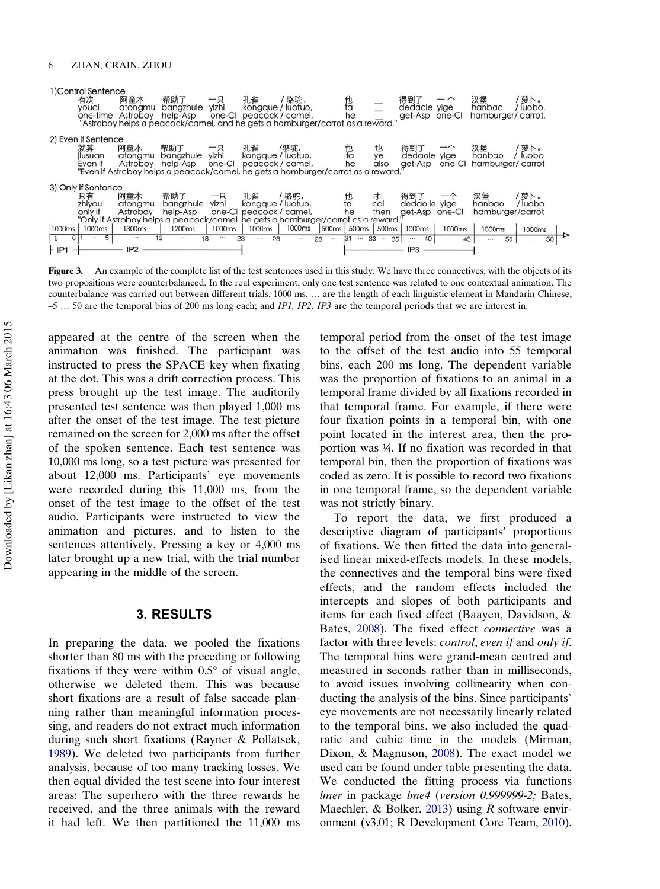<span id="page-6-0"></span>

| 1)Control Sentence  |                                                                                   |                    |                   |                         |        |                        |          |                 |        |                                 |            |
|---------------------|-----------------------------------------------------------------------------------|--------------------|-------------------|-------------------------|--------|------------------------|----------|-----------------|--------|---------------------------------|------------|
| 有次                  | 阿童木                                                                               | 帮助了                | 一只                | 孔雀                      | /骆驼,   | 他<br>ta                |          | 得到了             |        | 汉堡                              | 萝卜。        |
| vouci               | atonamu                                                                           | bangzhule          | vizhi             | kongque / luotuo,       |        |                        |          | dedaole yige    |        | hanbao                          | luobo.     |
| one-time            | Astroboy                                                                          | help-Asp           |                   | one-Cl peacock / camel, |        | he                     |          | get-Asp one-Cl  |        | hamburger/carrot.               |            |
|                     | "Astroboy helps a peacock/camel, and he gets a hamburger/carrot as a reward."     |                    |                   |                         |        |                        |          |                 |        |                                 |            |
|                     |                                                                                   |                    |                   |                         |        |                        |          |                 |        |                                 |            |
| 2) Even if Sentence |                                                                                   |                    |                   |                         |        |                        |          |                 |        |                                 |            |
| 就算                  | 阿童木                                                                               | 帮助了                |                   | 孔雀                      | /骆驼,   | 他                      | 也        | 得到了             |        | 汉堡                              | 萝卜。        |
| iiusuan             | atongmu                                                                           | bangzhule          | yizhi             | kongque / luotuo,       |        | ta                     | ye       | dedaole yige    |        | hanbao                          | luobo      |
| Even if             | Astroboy                                                                          | help-Asp           | one-Cl            | peacock / camel,        |        | he                     | also     |                 |        | get-Asp one-CI hamburger/carrot |            |
|                     | "Even if Astroboy helps a peacock/camel, he gets a hamburger/carrot as a reward." |                    |                   |                         |        |                        |          |                 |        |                                 |            |
| 3) Only if Sentence |                                                                                   |                    |                   |                         |        |                        |          |                 |        |                                 |            |
| 只有                  | 阿童木                                                                               | 帮助了                |                   | 孔雀                      | /骆驼,   |                        | 才        | 得到了             |        | 汉堡                              | 萝卜。        |
| zhivou              | atonamu                                                                           | bangzhule          | vizhi             | kongque / luotuo,       |        | 他<br>ta                | cai      | dedao le yige   |        | hanbao                          | luobo      |
| only if             | Astroboy                                                                          | help-Asp           |                   | one-CI peacock / camel, |        | he                     | then     | get-Asp one-Cl  |        | hamburger/carrot                |            |
|                     | "Only if Astroboy helps a peacock/camel, he gets a hamburger/carrot as a reward." |                    |                   |                         |        |                        |          |                 |        |                                 |            |
| 1000ms<br>1000ms    | 1300ms                                                                            | 1200 <sub>ms</sub> | 1000ms            | 1000ms                  | 1000ms | 500ms 500ms 500ms      |          | 1000ms          | 1000ms |                                 |            |
|                     |                                                                                   |                    |                   |                         |        |                        |          |                 |        | 1000ms                          | 1000ms     |
| $-5 - 0$<br>1.11    | 5<br>1.11                                                                         | 12<br>111          | 18<br>$100 - 100$ | 23<br>28<br>$\cdots$    | 28<br> | 31<br>$\cdots$<br>1000 | 33<br>35 | 40<br>$\cdots$  | 45<br> | 50<br>1.11                      | 50<br>1.11 |
| IP <sub>1</sub>     | IP <sub>2</sub>                                                                   |                    |                   |                         |        |                        |          | IP <sub>3</sub> |        |                                 |            |
|                     |                                                                                   |                    |                   |                         |        |                        |          |                 |        |                                 |            |

Figure 3. An example of the complete list of the test sentences used in this study. We have three connectives, with the objects of its two propositions were counterbalanced. In the real experiment, only one test sentence was related to one contextual animation. The counterbalance was carried out between different trials. 1000 ms, … are the length of each linguistic element in Mandarin Chinese;  $-5$  ... 50 are the temporal bins of 200 ms long each; and *IP1*, *IP2*, *IP3* are the temporal periods that we are interest in.

appeared at the centre of the screen when the animation was finished. The participant was instructed to press the SPACE key when fixating at the dot. This was a drift correction process. This press brought up the test image. The auditorily presented test sentence was then played 1,000 ms after the onset of the test image. The test picture remained on the screen for 2,000 ms after the offset of the spoken sentence. Each test sentence was 10,000 ms long, so a test picture was presented for about 12,000 ms. Participants' eye movements were recorded during this 11,000 ms, from the onset of the test image to the offset of the test audio. Participants were instructed to view the animation and pictures, and to listen to the sentences attentively. Pressing a key or 4,000 ms later brought up a new trial, with the trial number appearing in the middle of the screen.

### 3. RESULTS

In preparing the data, we pooled the fixations shorter than 80 ms with the preceding or following fixations if they were within  $0.5^{\circ}$  of visual angle, otherwise we deleted them. This was because short fixations are a result of false saccade planning rather than meaningful information processing, and readers do not extract much information during such short fixations (Rayner & Pollatsek, [1989\)](#page-11-0). We deleted two participants from further analysis, because of too many tracking losses. We then equal divided the test scene into four interest areas: The superhero with the three rewards he received, and the three animals with the reward it had left. We then partitioned the 11,000 ms

temporal period from the onset of the test image to the offset of the test audio into 55 temporal bins, each 200 ms long. The dependent variable was the proportion of fixations to an animal in a temporal frame divided by all fixations recorded in that temporal frame. For example, if there were four fixation points in a temporal bin, with one point located in the interest area, then the proportion was ¼. If no fixation was recorded in that temporal bin, then the proportion of fixations was coded as zero. It is possible to record two fixations in one temporal frame, so the dependent variable was not strictly binary.

To report the data, we first produced a descriptive diagram of participants' proportions of fixations. We then fitted the data into generalised linear mixed-effects models. In these models, the connectives and the temporal bins were fixed effects, and the random effects included the intercepts and slopes of both participants and items for each fixed effect (Baayen, Davidson, & Bates, [2008\)](#page-11-0). The fixed effect *connective* was a factor with three levels: control, even if and only if. The temporal bins were grand-mean centred and measured in seconds rather than in milliseconds, to avoid issues involving collinearity when conducting the analysis of the bins. Since participants' eye movements are not necessarily linearly related to the temporal bins, we also included the quadratic and cubic time in the models (Mirman, Dixon, & Magnuson, [2008\)](#page-11-0). The exact model we used can be found under table presenting the data. We conducted the fitting process via functions lmer in package lme4 (version 0.999999-2; Bates, Maechler, & Bolker, [2013\)](#page-11-0) using R software environment (v3.01; R Development Core Team, [2010\)](#page-11-0).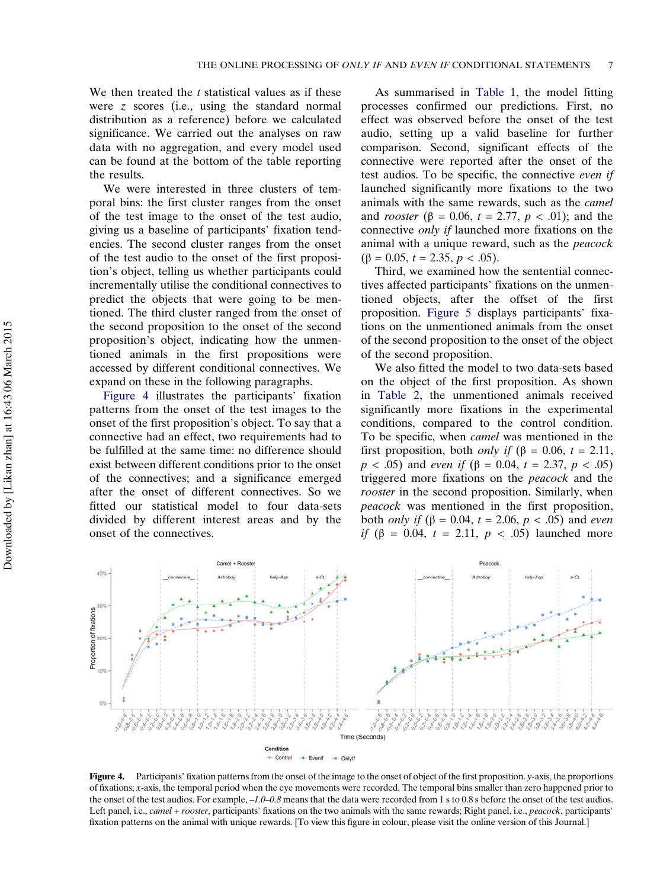We then treated the  $t$  statistical values as if these were z scores (i.e., using the standard normal distribution as a reference) before we calculated significance. We carried out the analyses on raw data with no aggregation, and every model used can be found at the bottom of the table reporting the results.

We were interested in three clusters of temporal bins: the first cluster ranges from the onset of the test image to the onset of the test audio, giving us a baseline of participants' fixation tendencies. The second cluster ranges from the onset of the test audio to the onset of the first proposition's object, telling us whether participants could incrementally utilise the conditional connectives to predict the objects that were going to be mentioned. The third cluster ranged from the onset of the second proposition to the onset of the second proposition's object, indicating how the unmentioned animals in the first propositions were accessed by different conditional connectives. We expand on these in the following paragraphs.

Figure 4 illustrates the participants' fixation patterns from the onset of the test images to the onset of the first proposition's object. To say that a connective had an effect, two requirements had to be fulfilled at the same time: no difference should exist between different conditions prior to the onset of the connectives; and a significance emerged after the onset of different connectives. So we fitted our statistical model to four data-sets divided by different interest areas and by the onset of the connectives.

As summarised in [Table 1,](#page-8-0) the model fitting processes confirmed our predictions. First, no effect was observed before the onset of the test audio, setting up a valid baseline for further comparison. Second, significant effects of the connective were reported after the onset of the test audios. To be specific, the connective even if launched significantly more fixations to the two animals with the same rewards, such as the camel and *rooster* ( $\beta = 0.06$ ,  $t = 2.77$ ,  $p < .01$ ); and the connective only if launched more fixations on the animal with a unique reward, such as the peacock ( $\beta = 0.05$ ,  $t = 2.35$ ,  $p < .05$ ).

Third, we examined how the sentential connectives affected participants' fixations on the unmentioned objects, after the offset of the first proposition. [Figure 5](#page-9-0) displays participants' fixations on the unmentioned animals from the onset of the second proposition to the onset of the object of the second proposition.

We also fitted the model to two data-sets based on the object of the first proposition. As shown in [Table 2,](#page-9-0) the unmentioned animals received significantly more fixations in the experimental conditions, compared to the control condition. To be specific, when camel was mentioned in the first proposition, both *only if* ( $\beta$  = 0.06, *t* = 2.11,  $p < .05$ ) and *even if* (β = 0.04, t = 2.37, p < .05) triggered more fixations on the peacock and the rooster in the second proposition. Similarly, when peacock was mentioned in the first proposition, both *only if* (β = 0.04, t = 2.06, p < .05) and *even* if (β = 0.04, t = 2.11,  $p$  < .05) launched more



**Figure 4.** Participants' fixation patterns from the onset of the image to the onset of object of the first proposition.  $y$ -axis, the proportions of fixations; x-axis, the temporal period when the eye movements were recorded. The temporal bins smaller than zero happened prior to the onset of the test audios. For example,  $-1.0$ -0.8 means that the data were recorded from 1 s to 0.8 s before the onset of the test audios. Left panel, i.e., *camel + rooster*, participants' fixations on the two animals with the same rewards; Right panel, i.e., *peacock*, participants' fixation patterns on the animal with unique rewards. [To view this figure in colour, please visit the online version of this Journal.]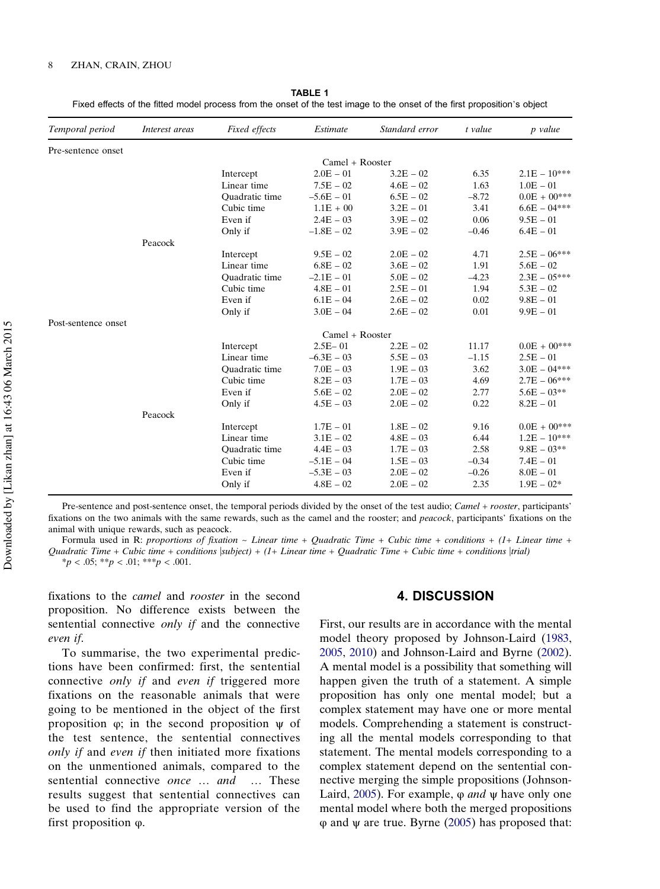| Temporal period     | Interest areas | Fixed effects         | Estimate     | Standard error | t value | p value        |
|---------------------|----------------|-----------------------|--------------|----------------|---------|----------------|
| Pre-sentence onset  |                |                       |              |                |         |                |
|                     |                | $Camel + Roosevelt$   |              |                |         |                |
|                     |                | Intercept             | $2.0E - 01$  | $3.2E - 02$    | 6.35    | $2.1E - 10***$ |
|                     |                | Linear time           | $7.5E - 02$  | $4.6E - 02$    | 1.63    | $1.0E - 01$    |
|                     |                | Quadratic time        | $-5.6E - 01$ | $6.5E - 02$    | $-8.72$ | $0.0E + 00***$ |
|                     |                | Cubic time            | $1.1E + 00$  | $3.2E - 01$    | 3.41    | $6.6E - 04***$ |
|                     |                | Even if               | $2.4E - 03$  | $3.9E - 02$    | 0.06    | $9.5E - 01$    |
|                     |                | Only if               | $-1.8E - 02$ | $3.9E - 02$    | $-0.46$ | $6.4E - 01$    |
|                     | Peacock        |                       |              |                |         |                |
|                     |                | Intercept             | $9.5E - 02$  | $2.0E - 02$    | 4.71    | $2.5E - 06***$ |
|                     |                | Linear time           | $6.8E - 02$  | $3.6E - 02$    | 1.91    | $5.6E - 02$    |
|                     |                | <b>Ouadratic</b> time | $-2.1E - 01$ | $5.0E - 02$    | $-4.23$ | $2.3E - 05***$ |
|                     |                | Cubic time            | $4.8E - 01$  | $2.5E - 01$    | 1.94    | $5.3E - 02$    |
|                     |                | Even if               | $6.1E - 04$  | $2.6E - 02$    | 0.02    | $9.8E - 01$    |
|                     |                | Only if               | $3.0E - 04$  | $2.6E - 02$    | 0.01    | $9.9E - 01$    |
| Post-sentence onset |                |                       |              |                |         |                |
|                     |                | $Camel + Roosevelt$   |              |                |         |                |
|                     |                | Intercept             | $2.5E - 01$  | $2.2E - 02$    | 11.17   | $0.0E + 00***$ |
|                     |                | Linear time           | $-6.3E - 03$ | $5.5E - 03$    | $-1.15$ | $2.5E - 01$    |
|                     |                | Quadratic time        | $7.0E - 03$  | $1.9E - 03$    | 3.62    | $3.0E - 04***$ |
|                     |                | Cubic time            | $8.2E - 03$  | $1.7E - 03$    | 4.69    | $2.7E - 06***$ |
|                     |                | Even if               | $5.6E - 02$  | $2.0E - 02$    | 2.77    | $5.6E - 03**$  |
|                     |                | Only if               | $4.5E - 03$  | $2.0E - 02$    | 0.22    | $8.2E - 01$    |
|                     | Peacock        |                       |              |                |         |                |
|                     |                | Intercept             | $1.7E - 01$  | $1.8E - 02$    | 9.16    | $0.0E + 00***$ |
|                     |                | Linear time           | $3.1E - 02$  | $4.8E - 03$    | 6.44    | $1.2E - 10***$ |
|                     |                | <b>Ouadratic</b> time | $4.4E - 03$  | $1.7E - 03$    | 2.58    | $9.8E - 03**$  |
|                     |                | Cubic time            | $-5.1E - 04$ | $1.5E - 03$    | $-0.34$ | $7.4E - 01$    |
|                     |                | Even if               | $-5.3E - 03$ | $2.0E - 02$    | $-0.26$ | $8.0E - 01$    |
|                     |                | Only if               | $4.8E - 02$  | $2.0E - 02$    | 2.35    | $1.9E - 02*$   |

<span id="page-8-0"></span>

|                                                                                                                           | <b>TABLE 1</b> |  |
|---------------------------------------------------------------------------------------------------------------------------|----------------|--|
| Fixed effects of the fitted model process from the onset of the test image to the onset of the first proposition's object |                |  |

Pre-sentence and post-sentence onset, the temporal periods divided by the onset of the test audio; Camel + rooster, participants' fixations on the two animals with the same rewards, such as the camel and the rooster; and *peacock*, participants' fixations on the animal with unique rewards, such as peacock.

Formula used in R: proportions of fixation  $\sim$  Linear time + Quadratic Time + Cubic time + conditions + (1+ Linear time + Quadratic Time + Cubic time + conditions  $|subject| + (1 + Linear time + Quadratic Time + Cubic time + conditions |trial)$  $*_{p}$  < .05;  $*_{p}$  < .01;  $*_{p}$  < .001.

fixations to the camel and rooster in the second proposition. No difference exists between the sentential connective only if and the connective even if.

To summarise, the two experimental predictions have been confirmed: first, the sentential connective only if and even if triggered more fixations on the reasonable animals that were going to be mentioned in the object of the first proposition  $φ$ ; in the second proposition  $ψ$  of the test sentence, the sentential connectives only if and even if then initiated more fixations on the unmentioned animals, compared to the sentential connective *once* ... and ... These results suggest that sentential connectives can be used to find the appropriate version of the first proposition φ.

#### 4. DISCUSSION

First, our results are in accordance with the mental model theory proposed by Johnson-Laird ([1983,](#page-11-0) [2005](#page-11-0), [2010](#page-11-0)) and Johnson-Laird and Byrne ([2002\)](#page-11-0). A mental model is a possibility that something will happen given the truth of a statement. A simple proposition has only one mental model; but a complex statement may have one or more mental models. Comprehending a statement is constructing all the mental models corresponding to that statement. The mental models corresponding to a complex statement depend on the sentential connective merging the simple propositions (Johnson-Laird, [2005\)](#page-11-0). For example,  $\varphi$  *and*  $\psi$  have only one mental model where both the merged propositions φ and ψ are true. Byrne [\(2005\)](#page-11-0) has proposed that: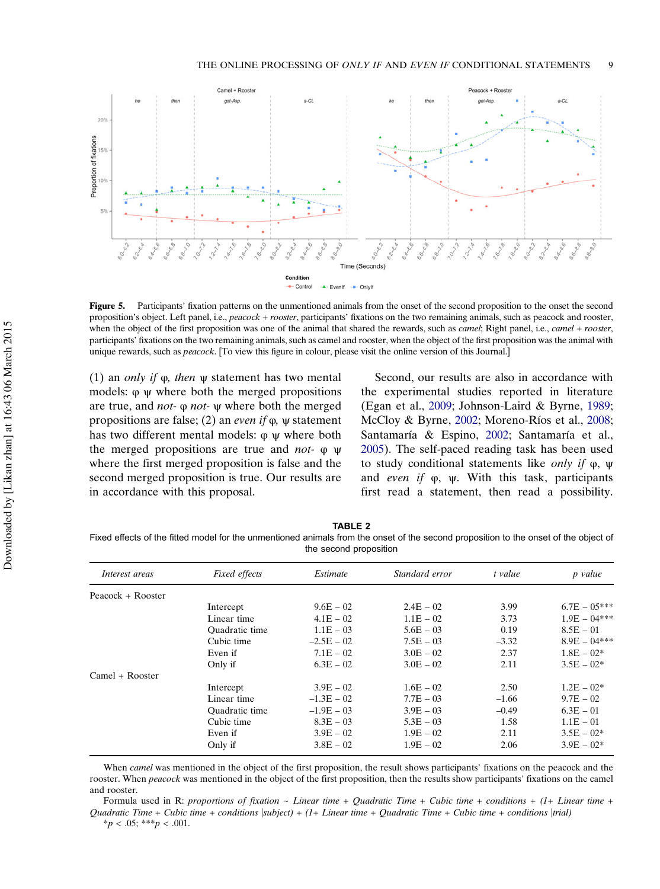<span id="page-9-0"></span>

Figure 5. Participants' fixation patterns on the unmentioned animals from the onset of the second proposition to the onset the second proposition's object. Left panel, i.e., peacock + rooster, participants' fixations on the two remaining animals, such as peacock and rooster, when the object of the first proposition was one of the animal that shared the rewards, such as *camel*; Right panel, i.e., *camel + rooster*, participants' fixations on the two remaining animals, such as camel and rooster, when the object of the first proposition was the animal with unique rewards, such as *peacock*. [To view this figure in colour, please visit the online version of this Journal.]

(1) an *only if*  $\varphi$ , *then*  $\psi$  statement has two mental models: φ ψ where both the merged propositions are true, and not- φ not- ψ where both the merged propositions are false; (2) an *even if*  $\varphi$ ,  $\psi$  statement has two different mental models: φ ψ where both the merged propositions are true and not- φ ψ where the first merged proposition is false and the second merged proposition is true. Our results are in accordance with this proposal.

Second, our results are also in accordance with the experimental studies reported in literature (Egan et al., [2009;](#page-11-0) Johnson-Laird & Byrne, [1989](#page-11-0); McCloy & Byrne, [2002;](#page-11-0) Moreno-Ríos et al., [2008](#page-11-0); Santamaría & Espino, [2002](#page-11-0); Santamaría et al., [2005](#page-11-0)). The self-paced reading task has been used to study conditional statements like only if φ, ψ and even if φ, ψ. With this task, participants first read a statement, then read a possibility.

TABLE 2 Fixed effects of the fitted model for the unmentioned animals from the onset of the second proposition to the onset of the object of the second proposition

| Interest areas      | Fixed effects  | Estimate     | Standard error | t value | p value        |
|---------------------|----------------|--------------|----------------|---------|----------------|
| Peacock $+$ Rooster |                |              |                |         |                |
|                     | Intercept      | $9.6E - 02$  | $2.4E - 02$    | 3.99    | $6.7E - 05***$ |
|                     | Linear time    | $4.1E - 02$  | $1.1E - 02$    | 3.73    | $1.9E - 04***$ |
|                     | Quadratic time | $1.1E - 03$  | $5.6E - 03$    | 0.19    | $8.5E - 01$    |
|                     | Cubic time     | $-2.5E - 02$ | $7.5E - 03$    | $-3.32$ | $8.9E - 04***$ |
|                     | Even if        | $7.1E - 02$  | $3.0E - 02$    | 2.37    | $1.8E - 02*$   |
|                     | Only if        | $6.3E - 02$  | $3.0E - 02$    | 2.11    | $3.5E - 02*$   |
| $Camel + Roosevelt$ |                |              |                |         |                |
|                     | Intercept      | $3.9E - 02$  | $1.6E - 02$    | 2.50    | $1.2E - 02*$   |
|                     | Linear time    | $-1.3E - 02$ | $7.7E - 03$    | $-1.66$ | $9.7E - 02$    |
|                     | Quadratic time | $-1.9E - 03$ | $3.9E - 03$    | $-0.49$ | $6.3E - 01$    |
|                     | Cubic time     | $8.3E - 03$  | $5.3E - 03$    | 1.58    | $1.1E - 01$    |
|                     | Even if        | $3.9E - 02$  | $1.9E - 02$    | 2.11    | $3.5E - 02*$   |
|                     | Only if        | $3.8E - 02$  | $1.9E - 02$    | 2.06    | $3.9E - 02*$   |
|                     |                |              |                |         |                |

When *camel* was mentioned in the object of the first proposition, the result shows participants' fixations on the peacock and the rooster. When peacock was mentioned in the object of the first proposition, then the results show participants' fixations on the camel and rooster.

Formula used in R: proportions of fixation  $\sim$  Linear time + Quadratic Time + Cubic time + conditions + (1+ Linear time + Quadratic Time + Cubic time + conditions  $|subject| + (1 + Linear time + Quadratic Time + Cubic time + conditions |trial)$ 

 $*_{p}$  < .05; \*\*\*p < .001.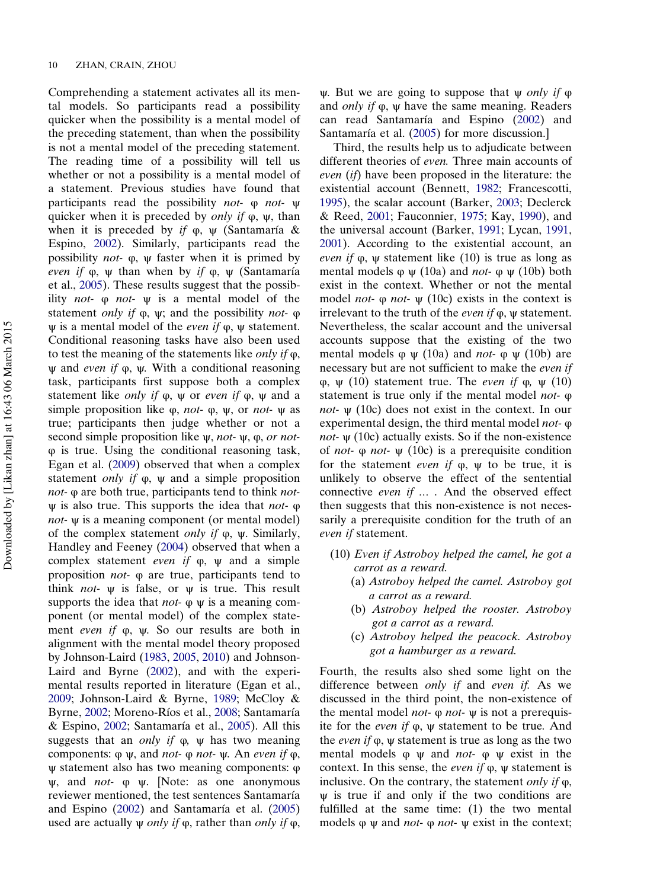Comprehending a statement activates all its mental models. So participants read a possibility quicker when the possibility is a mental model of the preceding statement, than when the possibility is not a mental model of the preceding statement. The reading time of a possibility will tell us whether or not a possibility is a mental model of a statement. Previous studies have found that participants read the possibility not- φ not- ψ quicker when it is preceded by *only if*  $\varphi$ ,  $\psi$ , than when it is preceded by if  $\varphi$ ,  $\psi$  (Santamaría & Espino, [2002\)](#page-11-0). Similarly, participants read the possibility *not*-  $\varphi$ ,  $\psi$  faster when it is primed by even if  $\varphi$ ,  $\psi$  than when by if  $\varphi$ ,  $\psi$  (Santamaría et al., [2005\)](#page-11-0). These results suggest that the possibility not-  $\varphi$  not-  $\psi$  is a mental model of the statement *only if*  $\varphi$ ,  $\psi$ ; and the possibility *not*-  $\varphi$  $ψ$  is a mental model of the *even if*  $φ$ ,  $ψ$  statement. Conditional reasoning tasks have also been used to test the meaning of the statements like *only if*  $\varphi$ ,  $ψ$  and *even if*  $φ$ ,  $ψ$ . With a conditional reasoning task, participants first suppose both a complex statement like *only if*  $\varphi$ ,  $\psi$  or *even if*  $\varphi$ ,  $\psi$  and a simple proposition like  $φ$ , *not*-  $φ$ ,  $ψ$ , or *not*-  $ψ$  as true; participants then judge whether or not a second simple proposition like  $\psi$ , *not-*  $\psi$ ,  $\varphi$ , *or not*φ is true. Using the conditional reasoning task, Egan et al. ([2009\)](#page-11-0) observed that when a complex statement *only if*  $\varphi$ ,  $\psi$  and a simple proposition not- φ are both true, participants tend to think not $ψ$  is also true. This supports the idea that *not*-  $φ$ not- ψ is a meaning component (or mental model) of the complex statement *only if*  $φ$ ,  $ψ$ . Similarly, Handley and Feeney ([2004\)](#page-11-0) observed that when a complex statement *even if*  $\varphi$ ,  $\psi$  and a simple proposition not- φ are true, participants tend to think *not*-  $\psi$  is false, or  $\psi$  is true. This result supports the idea that *not*-  $\varphi \psi$  is a meaning component (or mental model) of the complex statement even if φ, ψ. So our results are both in alignment with the mental model theory proposed by Johnson-Laird ([1983,](#page-11-0) [2005](#page-11-0), [2010\)](#page-11-0) and Johnson-Laird and Byrne ([2002\)](#page-11-0), and with the experimental results reported in literature (Egan et al., [2009;](#page-11-0) Johnson-Laird & Byrne, [1989](#page-11-0); McCloy & Byrne, [2002;](#page-11-0) Moreno-Ríos et al., [2008](#page-11-0); Santamaría & Espino, [2002](#page-11-0); Santamaría et al., [2005\)](#page-11-0). All this suggests that an *only if*  $\varphi$ ,  $\psi$  has two meaning components:  $\varphi \psi$ , and *not*-  $\varphi$  *not*-  $\psi$ . An *even if*  $\varphi$ , ψ statement also has two meaning components: φ  $\psi$ , and *not*-  $\varphi$   $\psi$ . [Note: as one anonymous reviewer mentioned, the test sentences Santamaría and Espino [\(2002](#page-11-0)) and Santamaría et al. ([2005\)](#page-11-0) used are actually  $\psi$  *only if*  $\varphi$ , rather than *only if*  $\varphi$ ,

ψ. But we are going to suppose that  $\psi$  *only if*  $\phi$ and only if φ, ψ have the same meaning. Readers can read Santamaría and Espino ([2002\)](#page-11-0) and Santamaría et al. ([2005\)](#page-11-0) for more discussion.]

Third, the results help us to adjudicate between different theories of even. Three main accounts of even (if) have been proposed in the literature: the existential account (Bennett, [1982;](#page-11-0) Francescotti, [1995](#page-11-0)), the scalar account (Barker, [2003;](#page-11-0) Declerck & Reed, [2001;](#page-11-0) Fauconnier, [1975;](#page-11-0) Kay, [1990\)](#page-11-0), and the universal account (Barker, [1991;](#page-11-0) Lycan, [1991,](#page-11-0) [2001](#page-11-0)). According to the existential account, an even if  $φ$ ,  $ψ$  statement like (10) is true as long as mental models  $\varphi \psi$  (10a) and *not*-  $\varphi \psi$  (10b) both exist in the context. Whether or not the mental model *not*-  $\varphi$  *not*-  $\psi$  (10c) exists in the context is irrelevant to the truth of the *even if*  $φ$ ,  $ψ$  statement. Nevertheless, the scalar account and the universal accounts suppose that the existing of the two mental models  $\varphi \psi$  (10a) and *not*-  $\varphi \psi$  (10b) are necessary but are not sufficient to make the even if φ, ψ (10) statement true. The even if φ, ψ (10) statement is true only if the mental model not- φ *not-*  $\psi$  (10c) does not exist in the context. In our experimental design, the third mental model not- φ *not-*  $\psi$  (10c) actually exists. So if the non-existence of *not*- φ *not*- ψ (10c) is a prerequisite condition for the statement *even if*  $\varphi$ ,  $\psi$  to be true, it is unlikely to observe the effect of the sentential connective even if … . And the observed effect then suggests that this non-existence is not necessarily a prerequisite condition for the truth of an even if statement.

- (10) Even if Astroboy helped the camel, he got a carrot as a reward.
	- (a) Astroboy helped the camel. Astroboy got a carrot as a reward.
	- (b) Astroboy helped the rooster. Astroboy got a carrot as a reward.
	- (c) Astroboy helped the peacock. Astroboy got a hamburger as a reward.

Fourth, the results also shed some light on the difference between only if and even if. As we discussed in the third point, the non-existence of the mental model *not*-  $φ$  *not*-  $ψ$  is not a prerequisite for the *even if*  $\varphi$ ,  $\psi$  statement to be true. And the even if φ, ψ statement is true as long as the two mental models  $\varphi \psi$  and *not*-  $\varphi \psi$  exist in the context. In this sense, the *even if*  $φ$ ,  $ψ$  statement is inclusive. On the contrary, the statement *only if*  $\varphi$ , ψ is true if and only if the two conditions are fulfilled at the same time: (1) the two mental models  $\varphi$  w and *not*-  $\varphi$  *not*-  $\psi$  exist in the context;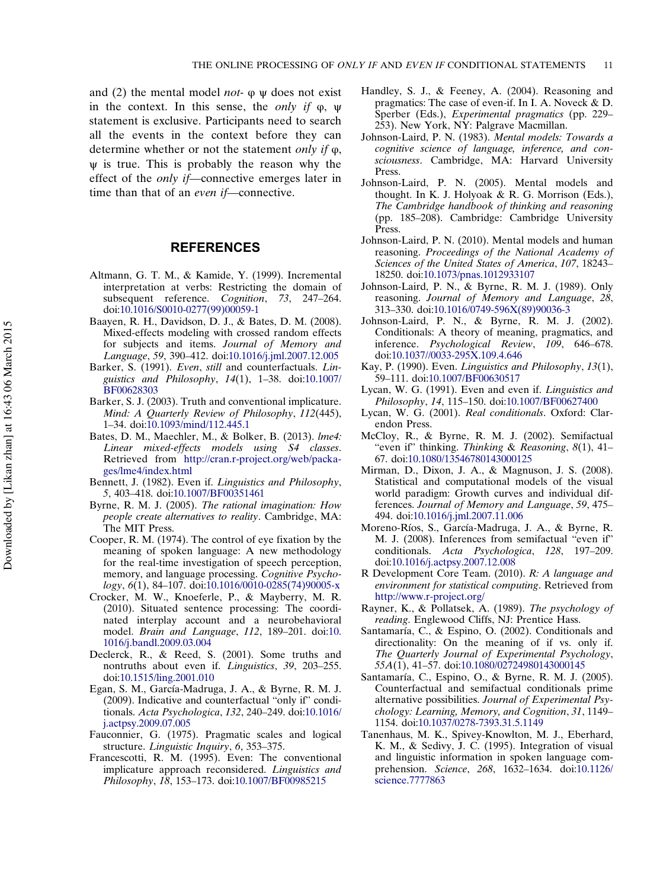<span id="page-11-0"></span>and (2) the mental model *not*-  $\varphi$   $\psi$  does not exist in the context. In this sense, the *only if*  $\varphi$ ,  $\psi$ statement is exclusive. Participants need to search all the events in the context before they can determine whether or not the statement only if φ,  $\psi$  is true. This is probably the reason why the effect of the only if—connective emerges later in time than that of an even if—connective.

#### **REFERENCES**

- Altmann, G. T. M., & Kamide, Y. (1999). Incremental interpretation at verbs: Restricting the domain of subsequent reference. Cognition, 73, 247–264. doi[:10.1016/S0010-0277\(99\)00059-1](http://dx.doi.org/10.1016/S0010-0277(99)00059-1)
- Baayen, R. H., Davidson, D. J., & Bates, D. M. (2008). Mixed-effects modeling with crossed random effects for subjects and items. Journal of Memory and Language, 59, 390–412. doi[:10.1016/j.jml.2007.12.005](http://dx.doi.org/10.1016/j.jml.2007.12.005)
- Barker, S. (1991). Even, still and counterfactuals. Linguistics and Philosophy, 14(1), 1–38. doi:[10.1007/](http://dx.doi.org/10.1007/BF00628303) [BF00628303](http://dx.doi.org/10.1007/BF00628303)
- Barker, S. J. (2003). Truth and conventional implicature. Mind: A Quarterly Review of Philosophy,  $\overline{112}(445)$ , 1–34. doi[:10.1093/mind/112.445.1](http://dx.doi.org/10.1093/mind/112.445.1)
- Bates, D. M., Maechler, M., & Bolker, B. (2013). lme4: Linear mixed-effects models using S4 classes. Retrieved from [http://cran.r-project.org/web/packa](http://cran.r-project.org/web/packages/lme4/index.html)[ges/lme4/index.html](http://cran.r-project.org/web/packages/lme4/index.html)
- Bennett, J. (1982). Even if. Linguistics and Philosophy, 5, 403–418. doi[:10.1007/BF00351461](http://dx.doi.org/10.1007/BF00351461)
- Byrne, R. M. J. (2005). The rational imagination: How people create alternatives to reality. Cambridge, MA: The MIT Press.
- Cooper, R. M. (1974). The control of eye fixation by the meaning of spoken language: A new methodology for the real-time investigation of speech perception, memory, and language processing. Cognitive Psychology, 6(1), 84–107. doi:[10.1016/0010-0285\(74\)90005-x](http://dx.doi.org/10.1016/0010-0285(74)90005-x)
- Crocker, M. W., Knoeferle, P., & Mayberry, M. R. (2010). Situated sentence processing: The coordinated interplay account and a neurobehavioral model. Brain and Language, 112, 189–201. doi[:10.](http://dx.doi.org/10.1016/j.bandl.2009.03.004) [1016/j.bandl.2009.03.004](http://dx.doi.org/10.1016/j.bandl.2009.03.004)
- Declerck, R., & Reed, S. (2001). Some truths and nontruths about even if. Linguistics, 39, 203–255. doi[:10.1515/ling.2001.010](http://dx.doi.org/10.1515/ling.2001.010)
- Egan, S. M., García-Madruga, J. A., & Byrne, R. M. J. (2009). Indicative and counterfactual "only if" conditionals. Acta Psychologica, 132, 240–249. doi:[10.1016/](http://dx.doi.org/10.1016/j.actpsy.2009.07.005) [j.actpsy.2009.07.005](http://dx.doi.org/10.1016/j.actpsy.2009.07.005)
- Fauconnier, G. (1975). Pragmatic scales and logical structure. Linguistic Inquiry, 6, 353–375.
- Francescotti, R. M. (1995). Even: The conventional implicature approach reconsidered. Linguistics and Philosophy, 18, 153–173. doi:[10.1007/BF00985215](http://dx.doi.org/10.1007/BF00985215)
- Handley, S. J., & Feeney, A. (2004). Reasoning and pragmatics: The case of even-if. In I. A. Noveck & D. Sperber (Eds.), Experimental pragmatics (pp. 229– 253). New York, NY: Palgrave Macmillan.
- Johnson-Laird, P. N. (1983). Mental models: Towards a cognitive science of language, inference, and consciousness. Cambridge, MA: Harvard University Press.
- Johnson-Laird, P. N. (2005). Mental models and thought. In K. J. Holyoak & R. G. Morrison (Eds.), The Cambridge handbook of thinking and reasoning (pp. 185–208). Cambridge: Cambridge University Press.
- Johnson-Laird, P. N. (2010). Mental models and human reasoning. Proceedings of the National Academy of Sciences of the United States of America, 107, 18243– 18250. doi[:10.1073/pnas.1012933107](http://dx.doi.org/10.1073/pnas.1012933107)
- Johnson-Laird, P. N., & Byrne, R. M. J. (1989). Only reasoning. Journal of Memory and Language, 28, 313–330. doi[:10.1016/0749-596X\(89\)90036-3](http://dx.doi.org/10.1016/0749-596X(89)90036-3)
- Johnson-Laird, P. N., & Byrne, R. M. J. (2002). Conditionals: A theory of meaning, pragmatics, and inference. Psychological Review, 109, 646–678. doi:[10.1037//0033-295X.109.4.646](http://dx.doi.org/10.1037//0033-295X.109.4.646)
- Kay, P. (1990). Even. Linguistics and Philosophy, 13(1), 59–111. doi:[10.1007/BF00630517](http://dx.doi.org/10.1007/BF00630517)
- Lycan, W. G. (1991). Even and even if. Linguistics and Philosophy, 14, 115–150. doi[:10.1007/BF00627400](http://dx.doi.org/10.1007/BF00627400)
- Lycan, W. G. (2001). Real conditionals. Oxford: Clarendon Press.
- McCloy, R., & Byrne, R. M. J. (2002). Semifactual "even if" thinking. Thinking & Reasoning, 8(1), 41– 67. doi:[10.1080/13546780143000125](http://dx.doi.org/10.1080/13546780143000125)
- Mirman, D., Dixon, J. A., & Magnuson, J. S. (2008). Statistical and computational models of the visual world paradigm: Growth curves and individual differences. Journal of Memory and Language, 59, 475– 494. doi[:10.1016/j.jml.2007.11.006](http://dx.doi.org/10.1016/j.jml.2007.11.006)
- Moreno-Ríos, S., García-Madruga, J. A., & Byrne, R. M. J. (2008). Inferences from semifactual "even if" conditionals. Acta Psychologica, 128, 197–209. doi:[10.1016/j.actpsy.2007.12.008](http://dx.doi.org/10.1016/j.actpsy.2007.12.008)
- R Development Core Team. (2010). R: A language and environment for statistical computing. Retrieved from <http://www.r-project.org/>
- Rayner, K., & Pollatsek, A. (1989). The psychology of reading. Englewood Cliffs, NJ: Prentice Hass.
- Santamaría, C., & Espino, O. (2002). Conditionals and directionality: On the meaning of if vs. only if. The Quarterly Journal of Experimental Psychology, 55A(1), 41–57. doi:[10.1080/02724980143000145](http://dx.doi.org/10.1080/02724980143000145)
- Santamaría, C., Espino, O., & Byrne, R. M. J. (2005). Counterfactual and semifactual conditionals prime alternative possibilities. Journal of Experimental Psychology: Learning, Memory, and Cognition, 31, 1149– 1154. doi:[10.1037/0278-7393.31.5.1149](http://dx.doi.org/10.1037/0278-7393.31.5.1149)
- Tanenhaus, M. K., Spivey-Knowlton, M. J., Eberhard, K. M., & Sedivy, J. C. (1995). Integration of visual and linguistic information in spoken language comprehension. Science, 268, 1632–1634. doi[:10.1126/](http://dx.doi.org/10.1126/science.7777863) [science.7777863](http://dx.doi.org/10.1126/science.7777863)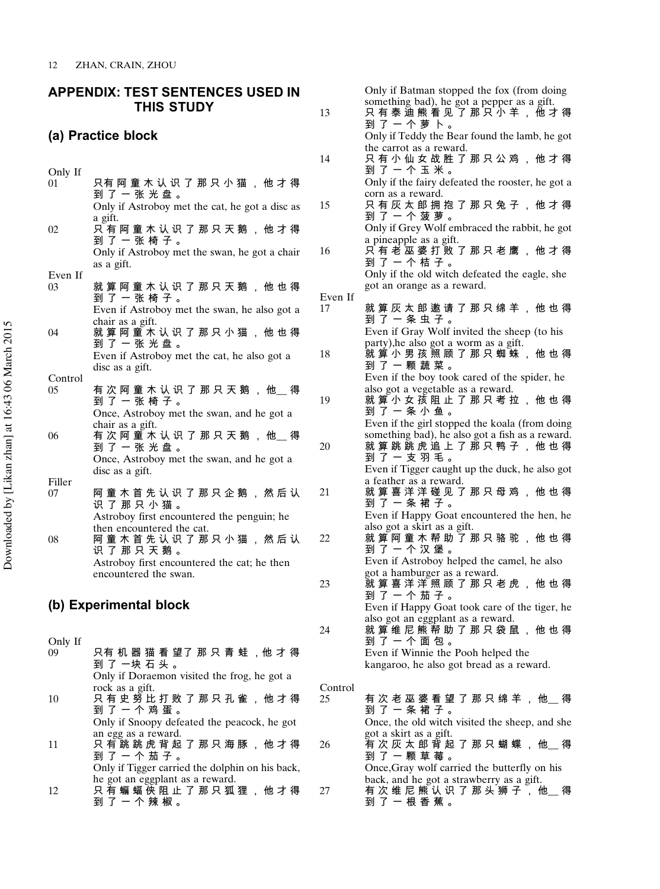### <span id="page-12-0"></span>APPENDIX: TEST SENTENCES USED IN THIS STUDY (a) Practice block Only If<br>01 只有 阿 童 木 认 识 了 那 只 小 猫 , 他 才 得 到 了 一 张 光 盘 。 Only if Astroboy met the cat, he got a disc as a gift.  $02$  只有 阿 童 木 认 识 了 那 只 天 鹅 , 他 才 得 到 了 一 张 椅 子 。 Only if Astroboy met the swan, he got a chair as a gift. Even If  $_{03}$ 就 算 阿 童 木 认 识 了 那 只 天 鹅 , 他 也 得 到 了 一 张 椅 子 。 Even if Astroboy met the swan, he also got a chair as a gift. 04 就 算 阿 童 木 认 识 了 那 只 小 猫 , 他 也 得 到 了 一 张 光 盘 。 Even if Astroboy met the cat, he also got a disc as a gift. Control  $05$  有 次 阿 童 木 认 识 了 那 只 天 鹅 , 他 \_ 得 到 了 一 张 椅 子 。 Once, Astroboy met the swan, and he got a chair as a gift.  $06$  有 次 阿 董 木 认 识 了 那 只 天 鹅 , 他\_\_ 得 到 了 一 张 光 盘 。 Once, Astroboy met the swan, and he got a disc as a gift. Filler<br>07 阿 童 木 首 先 认 识 了 那 只 企 鹅 , 然 后 认 识 了 那 只 小 猫 。 Astroboy first encountered the penguin; he then encountered the cat. 08 阿 童 木 首 先 认 识 了 那 只 小 猫 , 然 后 认 识 了 那 只 天 鹅 。 Astroboy first encountered the cat; he then encountered the swan. (b) Experimental block Only If **机 空 泄 丢 胡 7 那 口 主 社 ,** *山* **十 但** Even  $17$

| ०५ |                                                 |
|----|-------------------------------------------------|
|    | 到 了 一块 石 头 。                                    |
|    | Only if Doraemon visited the frog, he got a     |
|    | rock as a gift.                                 |
| 10 | 只 有 史 努 比 打 败 了 那 只 孔 雀 , 他 才 得                 |
|    | 到 了 一 个 鸡 蛋 。                                   |
|    | Only if Snoopy defeated the peacock, he got     |
|    | an egg as a reward.                             |
| 11 | 只 有 跳 跳 虎 背 起 了 那 只 海 豚 , 他 才 得                 |
|    | 到 了 一 个 茄 子 。                                   |
|    | Only if Tigger carried the dolphin on his back, |
|    | he got an eggplant as a reward.                 |
| 12 |                                                 |
|    | 到了一个辣椒。                                         |

|         | Only if Batman stopped the fox (from doing                                               |
|---------|------------------------------------------------------------------------------------------|
| 13      | something bad), he got a pepper as a gift.<br>只有泰迪熊看见了那只小羊,他才得<br>到 了 一 个 萝 卜 。          |
|         | Only if Teddy the Bear found the lamb, he got                                            |
| 14      | the carrot as a reward.<br>只 有 小 仙 女 战 胜 了 那 只 公 鸡 , 他 才 得                               |
|         | 到了一个玉米。                                                                                  |
|         | Only if the fairy defeated the rooster, he got a<br>corn as a reward.                    |
| 15      | 只 有 灰 太 郎 拥 抱 了 那 只 兔 子 , 他 才 得                                                          |
|         | 到了一个菠萝。<br>Only if Grey Wolf embraced the rabbit, he got                                 |
|         | a pineapple as a gift.                                                                   |
| 16      | 只 有 老 巫 婆 打 败 了 那 只 老 鹰 , 他 才 得<br>到 了 一 个 桔 子 。                                         |
|         | Only if the old witch defeated the eagle, she                                            |
|         | got an orange as a reward.                                                               |
| Even If |                                                                                          |
| 17      | 就 算 灰 太 郎 邀 请 了 那 只 绵 羊 , 他 也 得                                                          |
|         | 到 了 一 条 虫 子 。<br>Even if Gray Wolf invited the sheep (to his                             |
|         | party), he also got a worm as a gift.                                                    |
| 18      | 就 算 小 男 孩 照 顾 了 那 只 蜘 <mark>蛛 , 他 也</mark> 得                                             |
|         | 到 了 一 颗 蔬 菜 。                                                                            |
|         | Even if the boy took cared of the spider, he                                             |
| 19      | also got a vegetable as a reward.<br>就 算 小 女 孩 阻 止 了 那 只 考 拉 , 他 也 得                     |
|         | 到了一条小鱼。                                                                                  |
|         | Even if the girl stopped the koala (from doing                                           |
|         | something bad), he also got a fish as a reward.                                          |
| 20      | 就 算 跳 跳 虎 追 上 了 那 只 鸭 子 , 他 也 得<br>到 了 一 支 羽 毛 。                                         |
|         | Even if Tigger caught up the duck, he also got                                           |
|         | a feather as a reward.                                                                   |
| 21      | 就 算 喜 洋 洋 碰 见 了 那 只 母 鸡 , 他 也 得                                                          |
|         | 到 了 一 条 裙 子 。                                                                            |
|         | Even if Happy Goat encountered the hen, he<br>also got a skirt as a gift.                |
| 22      | 就 算 阿 童 木 帮 助 了 那 只 骆 驼 , 他 也 得                                                          |
|         | 到 了 一 个 汉 堡 。                                                                            |
|         | Even if Astroboy helped the camel, he also                                               |
| 23      | got a hamburger as a reward.<br>就 算 喜 洋 洋 照 顾 了 那 只 老 虎 , 他 也 得                          |
|         | 到 了 一 个 茄 子 。                                                                            |
|         | Even if Happy Goat took care of the tiger, he                                            |
|         | also got an eggplant as a reward.                                                        |
| 24      | 就 算 维 尼 熊 帮 助 了 那 只 袋 鼠 , 他 也 得                                                          |
|         | 到 了 一 个 面 包 。<br>Even if Winnie the Pooh helped the                                      |
|         | kangaroo, he also got bread as a reward.                                                 |
|         |                                                                                          |
| Control |                                                                                          |
| 25      | 有 次 老 巫 婆 看 望 了 那 只 绵 羊 , 他__ 得<br>到 了 一 条 裙 子 。                                         |
|         | Once, the old witch visited the sheep, and she                                           |
|         | got a skirt as a gift.                                                                   |
| 26      | _<br>有 次 灰 太 郎 背 起 了 那 只 蝴 蝶 , 他__ 得                                                     |
|         | 到 了 一 颗 草 莓 。                                                                            |
|         | Once, Gray wolf carried the butterfly on his<br>back, and he got a strawberry as a gift. |
| 27      | 有 次 维 尼 熊 认 识 了 那 头 狮 子 , 他<br>得                                                         |

到 了 一 根 香 蕉 。